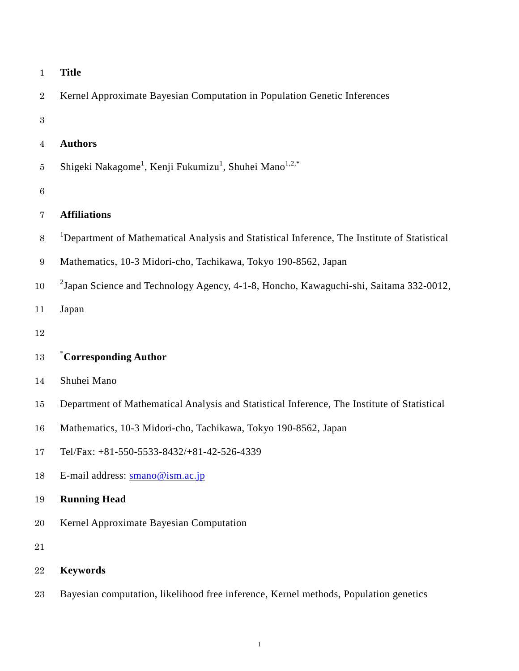| $\mathbf{1}$     | <b>Title</b>                                                                                             |  |  |  |
|------------------|----------------------------------------------------------------------------------------------------------|--|--|--|
| $\boldsymbol{2}$ | Kernel Approximate Bayesian Computation in Population Genetic Inferences                                 |  |  |  |
| $\,3$            |                                                                                                          |  |  |  |
| $\overline{4}$   | <b>Authors</b>                                                                                           |  |  |  |
| $\overline{5}$   | Shigeki Nakagome <sup>1</sup> , Kenji Fukumizu <sup>1</sup> , Shuhei Mano <sup>1,2,*</sup>               |  |  |  |
| $\,6\,$          |                                                                                                          |  |  |  |
| $\overline{7}$   | <b>Affiliations</b>                                                                                      |  |  |  |
| $8\,$            | <sup>1</sup> Department of Mathematical Analysis and Statistical Inference, The Institute of Statistical |  |  |  |
| $\boldsymbol{9}$ | Mathematics, 10-3 Midori-cho, Tachikawa, Tokyo 190-8562, Japan                                           |  |  |  |
| 10               | $2$ Japan Science and Technology Agency, 4-1-8, Honcho, Kawaguchi-shi, Saitama 332-0012,                 |  |  |  |
| 11               | Japan                                                                                                    |  |  |  |
| 12               |                                                                                                          |  |  |  |
| 13               | *Corresponding Author                                                                                    |  |  |  |
| 14               | Shuhei Mano                                                                                              |  |  |  |
| 15               | Department of Mathematical Analysis and Statistical Inference, The Institute of Statistical              |  |  |  |
| 16               | Mathematics, 10-3 Midori-cho, Tachikawa, Tokyo 190-8562, Japan                                           |  |  |  |
| 17               | Tel/Fax: +81-550-5533-8432/+81-42-526-4339                                                               |  |  |  |
| 18               | E-mail address: smano@ism.ac.jp                                                                          |  |  |  |
| 19               | <b>Running Head</b>                                                                                      |  |  |  |
| 20               | Kernel Approximate Bayesian Computation                                                                  |  |  |  |
| $21\,$           |                                                                                                          |  |  |  |
| 22               | <b>Keywords</b>                                                                                          |  |  |  |
| $\bf 23$         | Bayesian computation, likelihood free inference, Kernel methods, Population genetics                     |  |  |  |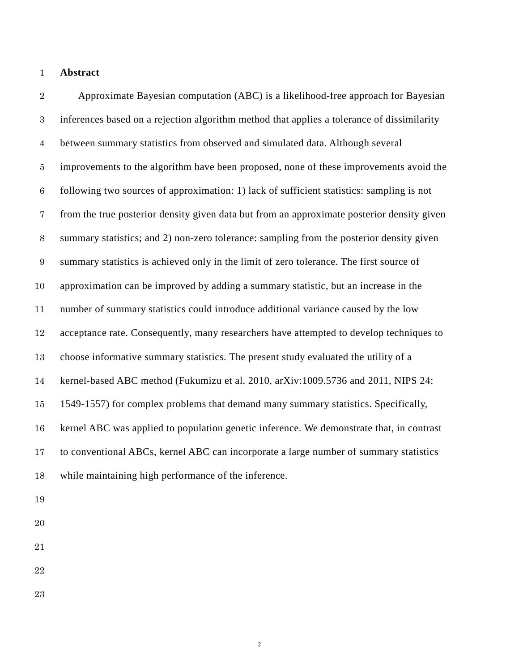## **Abstract**

Approximate Bayesian computation (ABC) is a likelihood-free approach for Bayesian inferences based on a rejection algorithm method that applies a tolerance of dissimilarity between summary statistics from observed and simulated data. Although several improvements to the algorithm have been proposed, none of these improvements avoid the following two sources of approximation: 1) lack of sufficient statistics: sampling is not from the true posterior density given data but from an approximate posterior density given summary statistics; and 2) non-zero tolerance: sampling from the posterior density given summary statistics is achieved only in the limit of zero tolerance. The first source of approximation can be improved by adding a summary statistic, but an increase in the number of summary statistics could introduce additional variance caused by the low acceptance rate. Consequently, many researchers have attempted to develop techniques to choose informative summary statistics. The present study evaluated the utility of a kernel-based ABC method (Fukumizu et al. 2010, arXiv:1009.5736 and 2011, NIPS 24: 1549-1557) for complex problems that demand many summary statistics. Specifically, kernel ABC was applied to population genetic inference. We demonstrate that, in contrast to conventional ABCs, kernel ABC can incorporate a large number of summary statistics while maintaining high performance of the inference.

- 
- 
- 
- 
-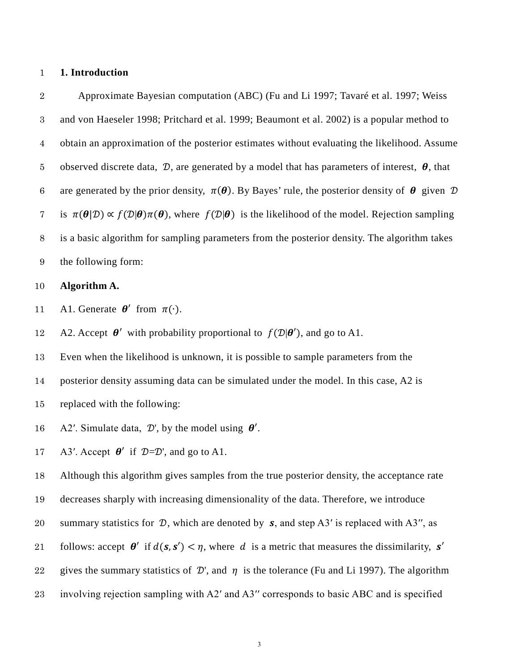## 1 **1. Introduction**

Approximate Bayesian computation (ABC) [\(Fu and Li 1997;](#page-20-0) [Tavaré et al. 1997;](#page-21-0) Weiss and von Haeseler 1998; [Pritchard et al. 1999;](#page-21-1) [Beaumont et al. 2002\)](#page-19-0) is a popular method to obtain an approximation of the posterior estimates without evaluating the likelihood. Assume 5 observed discrete data,  $\mathcal{D}$ , are generated by a model that has parameters of interest,  $\theta$ , that 6 are generated by the prior density,  $\pi(\theta)$ . By Bayes' rule, the posterior density of  $\theta$  given  $\mathcal D$ 7 is  $\pi(\theta|\mathcal{D}) \propto f(\mathcal{D}|\theta)\pi(\theta)$ , where  $f(\mathcal{D}|\theta)$  is the likelihood of the model. Rejection sampling is a basic algorithm for sampling parameters from the posterior density. The algorithm takes the following form:

## 10 **Algorithm A.**

11 A1. Generate  $\theta'$  from  $\pi(\cdot)$ .

12 A2. Accept  $\theta'$  with probability proportional to  $f(\mathcal{D}|\theta')$ , and go to A1.

13 Even when the likelihood is unknown, it is possible to sample parameters from the

- 14 posterior density assuming data can be simulated under the model. In this case, A2 is
- 15 replaced with the following:
- 16 A2'. Simulate data,  $\mathcal{D}'$ , by the model using  $\theta'$ .

17 A3'. Accept  $\theta'$  if  $\mathcal{D}=\mathcal{D}'$ , and go to A1.

18 Although this algorithm gives samples from the true posterior density, the acceptance rate

19 decreases sharply with increasing dimensionality of the data. Therefore, we introduce

- 20 summary statistics for  $D$ , which are denoted by  $s$ , and step A3' is replaced with A3'', as
- follows: accept  $\theta'$  if  $d(s, s') < \eta$ , where d is a metric that measures the dissimilarity, s'
- 22 gives the summary statistics of  $\mathcal{D}'$ , and  $\eta$  is the tolerance (Fu and [Li 1997\)](#page-20-0). The algorithm
- 23 involving rejection sampling with A2′ and A3′′ corresponds to basic ABC and is specified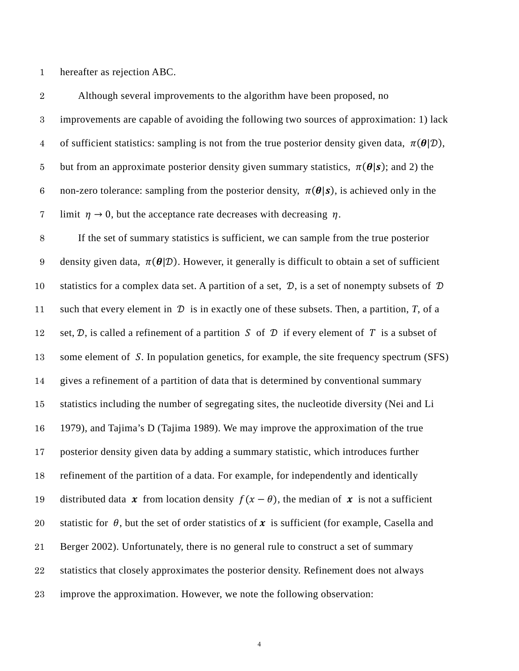hereafter as rejection ABC.

| $\sqrt{2}$       | Although several improvements to the algorithm have been proposed, no                                                 |  |  |  |
|------------------|-----------------------------------------------------------------------------------------------------------------------|--|--|--|
| $\sqrt{3}$       | improvements are capable of avoiding the following two sources of approximation: 1) lack                              |  |  |  |
| $\overline{4}$   | of sufficient statistics: sampling is not from the true posterior density given data, $\pi(\theta \mathcal{D})$ ,     |  |  |  |
| $\bf 5$          | but from an approximate posterior density given summary statistics, $\pi(\theta s)$ ; and 2) the                      |  |  |  |
| $\,6\,$          | non-zero tolerance: sampling from the posterior density, $\pi(\theta s)$ , is achieved only in the                    |  |  |  |
| $\overline{7}$   | limit $\eta \rightarrow 0$ , but the acceptance rate decreases with decreasing $\eta$ .                               |  |  |  |
| $8\,$            | If the set of summary statistics is sufficient, we can sample from the true posterior                                 |  |  |  |
| $\boldsymbol{9}$ | density given data, $\pi(\theta \mathcal{D})$ . However, it generally is difficult to obtain a set of sufficient      |  |  |  |
| 10               | statistics for a complex data set. A partition of a set, $\mathcal{D}$ , is a set of nonempty subsets of $\mathcal D$ |  |  |  |
| 11               | such that every element in $\mathcal D$ is in exactly one of these subsets. Then, a partition, T, of a                |  |  |  |
| 12               | set, $D$ , is called a refinement of a partition S of D if every element of T is a subset of                          |  |  |  |
| 13               | some element of S. In population genetics, for example, the site frequency spectrum (SFS)                             |  |  |  |
| 14               | gives a refinement of a partition of data that is determined by conventional summary                                  |  |  |  |
| 15               | statistics including the number of segregating sites, the nucleotide diversity (Nei and Li                            |  |  |  |
| 16               | 1979), and Tajima's D (Tajima 1989). We may improve the approximation of the true                                     |  |  |  |
| 17               | posterior density given data by adding a summary statistic, which introduces further                                  |  |  |  |
| 18               | refinement of the partition of a data. For example, for independently and identically                                 |  |  |  |
| 19               | distributed data x from location density $f(x - \theta)$ , the median of x is not a sufficient                        |  |  |  |
| 20               | statistic for $\theta$ , but the set of order statistics of x is sufficient (for example, Casella and                 |  |  |  |
| 21               | Berger 2002). Unfortunately, there is no general rule to construct a set of summary                                   |  |  |  |
| 22               | statistics that closely approximates the posterior density. Refinement does not always                                |  |  |  |
| 23               | improve the approximation. However, we note the following observation:                                                |  |  |  |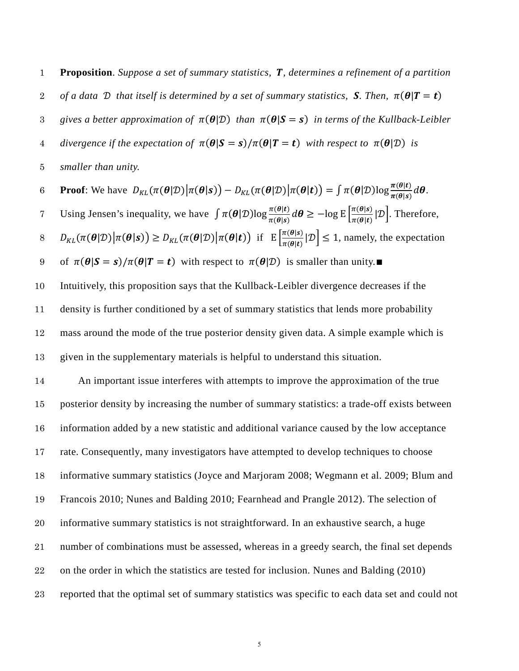**Proposition**. *Suppose a set of summary statistics, , determines a refinement of a partition*  2 *of a data D that itself is determined by a set of summary statistics, S. Then,*  $\pi(\theta | T = t)$ 3 gives a better approximation of  $\pi(\theta|\mathcal{D})$  than  $\pi(\theta|S=s)$  in terms of the Kullback-Leibler 4 *divergence if the expectation of*  $\pi(\theta | S = s) / \pi(\theta | T = t)$  *with respect to*  $\pi(\theta | \mathcal{D})$  *is smaller than unity.* **Proof**: We have  $D_{KL}(\pi(\theta|\mathcal{D})|\pi(\theta|\mathbf{s})) - D_{KL}(\pi(\theta|\mathcal{D})|\pi(\theta|\mathbf{t})) = \int \pi(\theta|\mathcal{D})\log \frac{\pi(\theta|\mathbf{t})}{\pi(\theta|\mathbf{s})} d\theta$ . Using Jensen's inequality, we have  $\int \pi(\theta|\mathcal{D}) \log \frac{\pi(\theta|\mathbf{t})}{\pi(\theta|\mathbf{s})} d\theta \geq -\log E \left[ \frac{\pi(\theta|\mathbf{s})}{\pi(\theta|\mathbf{t})} |\mathcal{D} \right]$ . Therefore,  $B = D_{KL}(\pi(\theta|\mathcal{D})|\pi(\theta|\mathbf{s})) \ge D_{KL}(\pi(\theta|\mathcal{D})|\pi(\theta|\mathbf{t}))$  if  $E\left[\frac{\pi(\theta|\mathbf{s})}{\pi(\theta|\mathbf{t})}|\mathcal{D}\right] \le 1$ , namely, the expectation 9 of  $\pi(\theta|S = s)/\pi(\theta|T = t)$  with respect to  $\pi(\theta|\mathcal{D})$  is smaller than unity.■ Intuitively, this proposition says that the Kullback-Leibler divergence decreases if the density is further conditioned by a set of summary statistics that lends more probability mass around the mode of the true posterior density given data. A simple example which is

given in the supplementary materials is helpful to understand this situation.

 An important issue interferes with attempts to improve the approximation of the true posterior density by increasing the number of summary statistics: a trade-off exists between information added by a new statistic and additional variance caused by the low acceptance rate. Consequently, many investigators have attempted to develop techniques to choose informative summary statistics [\(Joyce and Marjoram 2008;](#page-20-1) [Wegmann et al. 2009;](#page-22-0) [Blum and](#page-19-1)  [Francois 2010;](#page-19-1) [Nunes and Balding 2010;](#page-21-4) [Fearnhead and Prangle 2012\)](#page-19-2). The selection of informative summary statistics is not straightforward. In an exhaustive search, a huge number of combinations must be assessed, whereas in a greedy search, the final set depends on the order in which the statistics are tested for inclusion. Nunes and Balding (2010) reported that the optimal set of summary statistics was specific to each data set and could not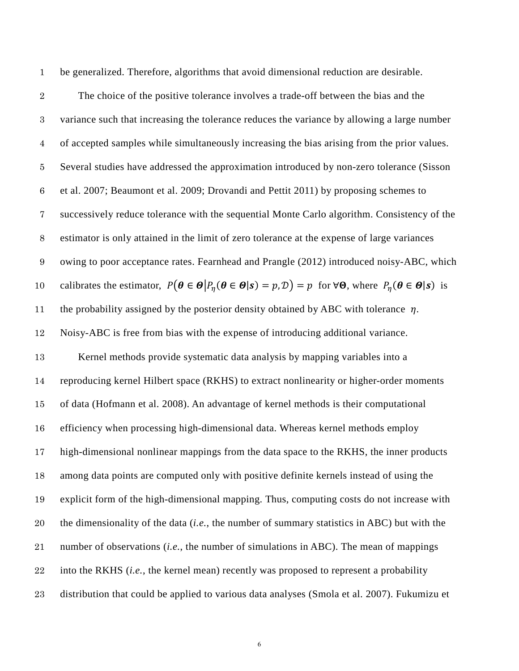be generalized. Therefore, algorithms that avoid dimensional reduction are desirable. The choice of the positive tolerance involves a trade-off between the bias and the variance such that increasing the tolerance reduces the variance by allowing a large number of accepted samples while simultaneously increasing the bias arising from the prior values. Several studies have addressed the approximation introduced by non-zero tolerance (Sisson et al. 2007; Beaumont et al. 2009; Drovandi and Pettit 2011) by proposing schemes to successively reduce tolerance with the sequential Monte Carlo algorithm. Consistency of the estimator is only attained in the limit of zero tolerance at the expense of large variances owing to poor acceptance rates. Fearnhead and Prangle (2012) introduced noisy-ABC, which 10 calibrates the estimator,  $P(\theta \in \Theta | P_n(\theta \in \Theta | s) = p, \mathcal{D}) = p$  for  $\forall \Theta$ , where  $P_n(\theta \in \Theta | s)$  is 11 the probability assigned by the posterior density obtained by ABC with tolerance  $\eta$ . Noisy-ABC is free from bias with the expense of introducing additional variance. Kernel methods provide systematic data analysis by mapping variables into a reproducing kernel Hilbert space (RKHS) to extract nonlinearity or higher-order moments of data [\(Hofmann et al. 2008\)](#page-20-2). An advantage of kernel methods is their computational efficiency when processing high-dimensional data. Whereas kernel methods employ high-dimensional nonlinear mappings from the data space to the RKHS, the inner products among data points are computed only with positive definite kernels instead of using the explicit form of the high-dimensional mapping. Thus, computing costs do not increase with the dimensionality of the data (*i.e.*, the number of summary statistics in ABC) but with the number of observations (*i.e.*, the number of simulations in ABC). The mean of mappings into the RKHS (*i.e.*, the kernel mean) recently was proposed to represent a probability distribution that could be applied to various data analyses [\(Smola et al. 2007\)](#page-21-5). [Fukumizu](#page-20-3) et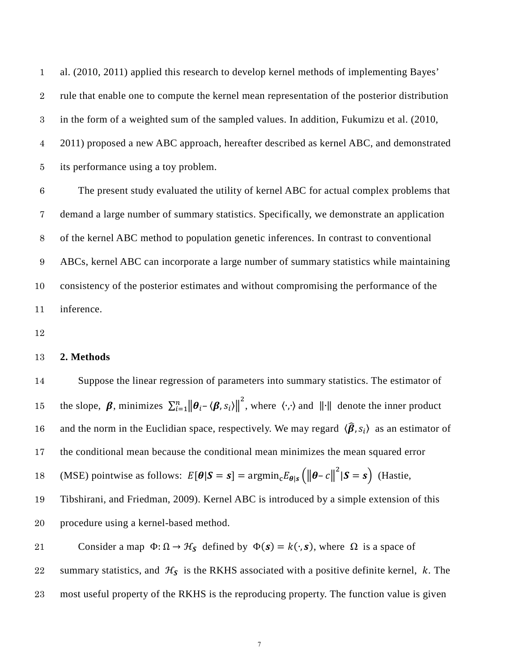[al. \(2010, 2011\)](#page-20-3) applied this research to develop kernel methods of implementing Bayes' rule that enable one to compute the kernel mean representation of the posterior distribution in the form of a weighted sum of the sampled values. In addition, Fukumizu et al. (2010, 2011) proposed a new ABC approach, hereafter described as kernel ABC, and demonstrated its performance using a toy problem.

The present study evaluated the utility of kernel ABC for actual complex problems that demand a large number of summary statistics. Specifically, we demonstrate an application of the kernel ABC method to population genetic inferences. In contrast to conventional ABCs, kernel ABC can incorporate a large number of summary statistics while maintaining consistency of the posterior estimates and without compromising the performance of the inference.

## **2. Methods**

 Suppose the linear regression of parameters into summary statistics. The estimator of 15 the slope,  $\beta$ , minimizes  $\sum_{i=1}^{n} ||\theta_i - \langle \beta, s_i \rangle||^2$ , where  $\langle \cdot, \cdot \rangle$  and  $||\cdot||$  denote the inner product 16 and the norm in the Euclidian space, respectively. We may regard  $\langle \hat{\beta}, s_i \rangle$  as an estimator of the conditional mean because the conditional mean minimizes the mean squared error 18 (MSE) pointwise as follows:  $E[\theta|S = s] = \text{argmin}_{c} E_{\theta|s} \left( \|\theta - c\|^2 |S = s \right)$  (Hastie, Tibshirani, and Friedman, 2009). Kernel ABC is introduced by a simple extension of this procedure using a kernel-based method.

21 Consider a map  $\Phi$ :  $\Omega \to \mathcal{H}_s$  defined by  $\Phi(s) = k(\cdot, s)$ , where  $\Omega$  is a space of 22 summary statistics, and  $H_S$  is the RKHS associated with a positive definite kernel, *k*. The most useful property of the RKHS is the reproducing property. The function value is given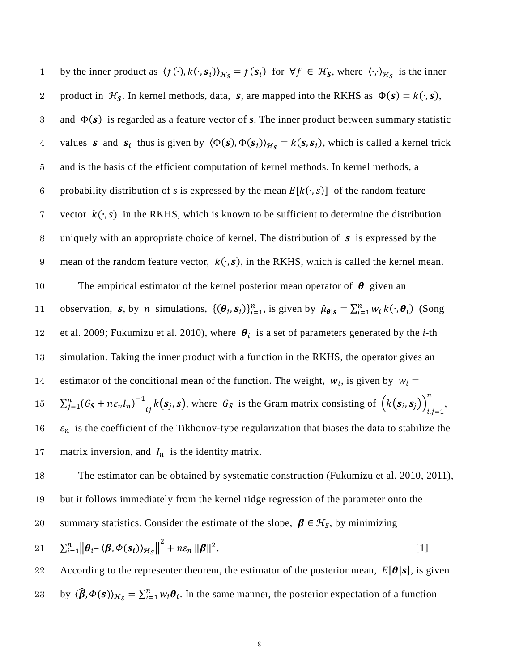by the inner product as  $\langle f(\cdot), k(\cdot, s_i) \rangle_{\mathcal{H}_{\mathcal{S}}} = f(s_i)$  for  $\forall f \in \mathcal{H}_{\mathcal{S}}$ , where  $\langle \cdot, \cdot \rangle_{\mathcal{H}_{\mathcal{S}}}$  is the inner product in  $\mathcal{H}_{\mathbf{S}}$ . In kernel methods, data, **s**, are mapped into the RKHS as  $\Phi(\mathbf{s}) = k(\cdot, \mathbf{s})$ , 3 and  $\Phi(s)$  is regarded as a feature vector of *s*. The inner product between summary statistic values **s** and **s**<sub>i</sub> thus is given by  $\langle \Phi(\mathbf{s}), \Phi(\mathbf{s}_i) \rangle_{\mathcal{H}_{\mathbf{S}}} = k(\mathbf{s}, \mathbf{s}_i)$ , which is called a kernel trick 5 and is the basis of the efficient computation of kernel methods. In kernel methods, a 6 probability distribution of *s* is expressed by the mean  $E[k(\cdot, s)]$  of the random feature 7 vector  $k(\cdot, s)$  in the RKHS, which is known to be sufficient to determine the distribution 8 uniquely with an appropriate choice of kernel. The distribution of  $\boldsymbol{s}$  is expressed by the 9 mean of the random feature vector,  $k(\cdot, s)$ , in the RKHS, which is called the kernel mean. 10 The empirical estimator of the kernel posterior mean operator of  $\theta$  given an 11 observation, **s**, by *n* simulations,  $\{(\theta_i, s_i)\}_{i=1}^n$ , is given by  $\hat{\mu}_{\theta|s} = \sum_{i=1}^n w_i k(\cdot, \theta_i)$  (Song 12 [et al. 2009;](#page-21-6) [Fukumizu et al. 2010\)](#page-20-3), where  $\theta_i$  is a set of parameters generated by the *i*-th 13 simulation. Taking the inner product with a function in the RKHS, the operator gives an 14 estimator of the conditional mean of the function. The weight,  $w_i$ , is given by  $w_i =$  $\sum_{j=1}^n (G_{\mathcal{S}} + n \varepsilon_n I_n)$ 15  $\sum_{j=1}^{n} (G_s + n \varepsilon_n I_n)^{-1}{}_{ij} k(s_j, s)$ , where  $G_s$  is the Gram matrix consisting of  $(k(s_i, s_j))_{i,j=1}^{n}$ , 16  $\varepsilon_n$  is the coefficient of the Tikhonov-type regularization that biases the data to stabilize the 17 matrix inversion, and  $I_n$  is the identity matrix. 18 The estimator can be obtained by systematic construction [\(Fukumizu et al. 2010,](#page-20-3) [2011\)](#page-20-4),

19 but it follows immediately from the kernel ridge regression of the parameter onto the

summary statistics. Consider the estimate of the slope,  $\beta \in \mathcal{H}_S$ , by minimizing

$$
21 \qquad \sum_{i=1}^{n} \left\| \boldsymbol{\theta}_{i} - \langle \boldsymbol{\beta}, \boldsymbol{\Phi}(\boldsymbol{s}_{i}) \rangle_{\mathcal{H}_{S}} \right\|^{2} + n \varepsilon_{n} \left\| \boldsymbol{\beta} \right\|^{2}.
$$

22 According to the representer theorem, the estimator of the posterior mean,  $E[\theta|s]$ , is given 23 by  $\langle \hat{\beta}, \Phi(s) \rangle_{\mathcal{H}_S} = \sum_{i=1}^n w_i \theta_i$ . In the same manner, the posterior expectation of a function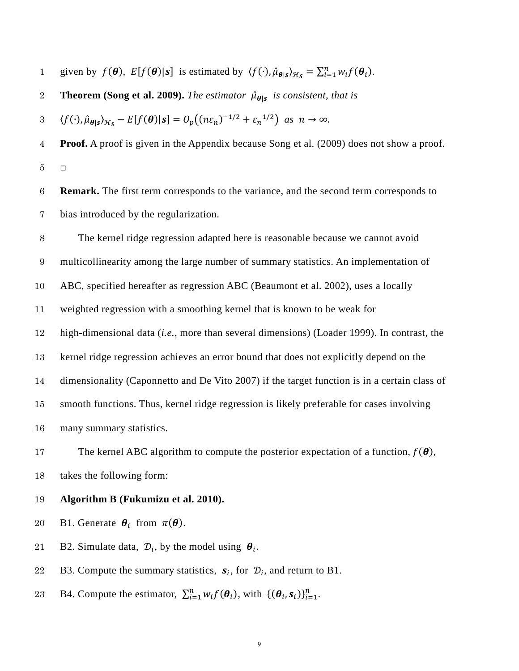1 given by  $f(\theta)$ ,  $E[f(\theta)|s]$  is estimated by  $\langle f(\cdot), \hat{\mu}_{\theta|s} \rangle_{\mathcal{H}_S} = \sum_{i=1}^n w_i f(\theta_i)$ .

**Theorem [\(Song et al. 2009\)](#page-21-6).** *The estimator*  $\hat{\mu}_{\theta|s}$  *is consistent, that is* 

 $\langle f(\cdot), \hat{\mu}_{\theta | s} \rangle_{\mathcal{H}_{\mathcal{S}}} - E[f(\theta)|s] = O_p((n\varepsilon_n)^{-1/2} + \varepsilon_n^{-1/2})$  as  $n \to \infty$ .

**Proof.** A proof is given in the Appendix because Song et al. (2009) does not show a proof. **□** 

**Remark.** The first term corresponds to the variance, and the second term corresponds to bias introduced by the regularization.

The kernel ridge regression adapted here is reasonable because we cannot avoid multicollinearity among the large number of summary statistics. An implementation of ABC, specified hereafter as regression ABC (Beaumont et al. 2002), uses a locally weighted regression with a smoothing kernel that is known to be weak for high-dimensional data (*i.e.*, more than several dimensions) (Loader 1999). In contrast, the kernel ridge regression achieves an error bound that does not explicitly depend on the dimensionality (Caponnetto and De Vito 2007) if the target function is in a certain class of smooth functions. Thus, kernel ridge regression is likely preferable for cases involving many summary statistics.

17 The kernel ABC algorithm to compute the posterior expectation of a function,  $f(\theta)$ , takes the following form:

**Algorithm B [\(Fukumizu et al. 2010\)](#page-20-3).** 

20 B1. Generate  $\theta_i$  from  $\pi(\theta)$ .

21 B2. Simulate data,  $\mathcal{D}_i$ , by the model using  $\theta_i$ .

22 B3. Compute the summary statistics,  $s_i$ , for  $\mathcal{D}_i$ , and return to B1.

23 B4. Compute the estimator,  $\sum_{i=1}^{n} w_i f(\theta_i)$ , with  $\{(\theta_i, s_i)\}_{i=1}^{n}$ .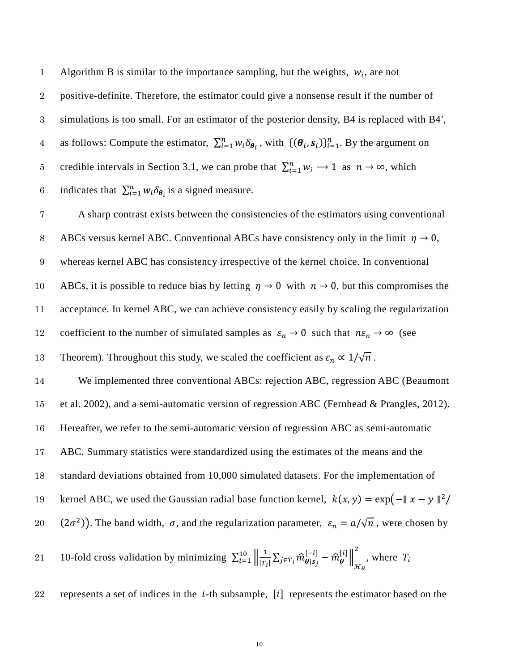Algorithm B is similar to the importance sampling, but the weights,  $w_i$ , are not 2 positive-definite. Therefore, the estimator could give a nonsense result if the number of 3 simulations is too small. For an estimator of the posterior density, B4 is replaced with B4′, as follows: Compute the estimator,  $\sum_{i=1}^{n} w_i \delta_{\theta_i}$ , with  $\{(\theta_i, s_i)\}_{i=1}^{n}$ . By the argument on 5 credible intervals in Section 3.1, we can probe that  $\sum_{i=1}^{n} w_i \rightarrow 1$  as  $n \rightarrow \infty$ , which 6 indicates that  $\sum_{i=1}^{n} w_i \delta_{\theta_i}$  is a signed measure.

7 A sharp contrast exists between the consistencies of the estimators using conventional 8 ABCs versus kernel ABC. Conventional ABCs have consistency only in the limit  $\eta \to 0$ , 9 whereas kernel ABC has consistency irrespective of the kernel choice. In conventional 10 ABCs, it is possible to reduce bias by letting  $\eta \to 0$  with  $n \to 0$ , but this compromises the 11 acceptance. In kernel ABC, we can achieve consistency easily by scaling the regularization 12 coefficient to the number of simulated samples as  $\varepsilon_n \to 0$  such that  $n\varepsilon_n \to \infty$  (see

13 Theorem). Throughout this study, we scaled the coefficient as  $\varepsilon_n \propto 1/\sqrt{n}$ .

 We implemented three conventional ABCs: rejection ABC, regression ABC [\(Beaumont](#page-19-0)  [et al. 2002\)](#page-19-0), and a semi-automatic version of regression ABC (Fernhead & Prangles, 2012). Hereafter, we refer to the semi-automatic version of regression ABC as semi-automatic ABC. Summary statistics were standardized using the estimates of the means and the

18 standard deviations obtained from 10,000 simulated datasets. For the implementation of

19 kernel ABC, we used the Gaussian radial base function kernel,  $k(x, y) = \exp(-||x - y||^2)$ 

(2 $\sigma^2$ ). The band width,  $\sigma$ , and the regularization parameter,  $\varepsilon_n = a/\sqrt{n}$ , were chosen by

21 10-fold cross validation by minimizing 
$$
\sum_{i=1}^{10} \left\| \frac{1}{|T_i|} \sum_{j \in T_i} \widehat{m}^{[-i]}_{\theta | s_j} - \widehat{m}^{[i]}_{\theta} \right\|_{\mathcal{H}_{\theta}}^2
$$
, where  $T_i$ 

22 represents a set of indices in the  $i$ -th subsample,  $[i]$  represents the estimator based on the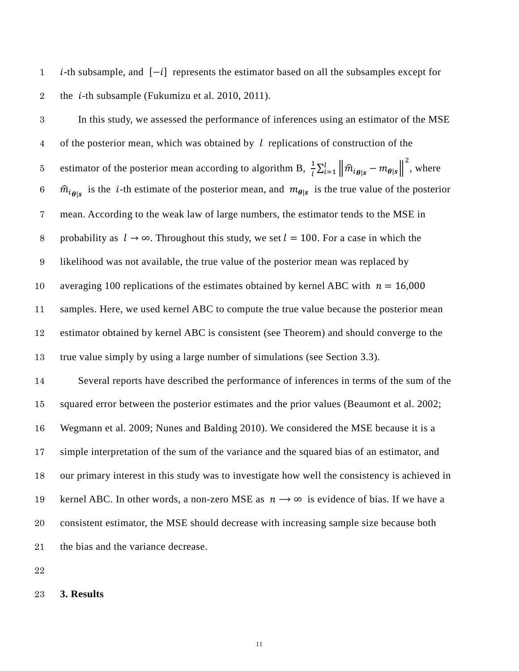-th subsample, and [−] represents the estimator based on all the subsamples except for 2 the *i*-th subsample [\(Fukumizu et al. 2010,](#page-20-3) [2011\)](#page-20-4).

In this study, we assessed the performance of inferences using an estimator of the MSE 4 of the posterior mean, which was obtained by  $l$  replications of construction of the estimator of the posterior mean according to algorithm B,  $\frac{1}{l} \sum_{i=1}^{l} ||\hat{m}_{i_{\theta|S}} - m_{\theta|S}||$ 5 estimator of the posterior mean according to algorithm B,  $\frac{1}{l} \sum_{i=1}^{l} ||\hat{m}_{i\theta|s} - m_{\theta|s}||^2$ , where  $\hat{m}_{i_{\theta}}$  is the *i*-th estimate of the posterior mean, and  $m_{\theta}$  is the true value of the posterior mean. According to the weak law of large numbers, the estimator tends to the MSE in 8 probability as  $l \rightarrow \infty$ . Throughout this study, we set  $l = 100$ . For a case in which the likelihood was not available, the true value of the posterior mean was replaced by 10 averaging 100 replications of the estimates obtained by kernel ABC with  $n = 16,000$  samples. Here, we used kernel ABC to compute the true value because the posterior mean estimator obtained by kernel ABC is consistent (see Theorem) and should converge to the true value simply by using a large number of simulations (see Section 3.3).

 Several reports have described the performance of inferences in terms of the sum of the squared error between the posterior estimates and the prior values [\(Beaumont et al. 2002;](#page-19-0) [Wegmann et al. 2009;](#page-22-0) [Nunes and Balding 2010\)](#page-21-4). We considered the MSE because it is a simple interpretation of the sum of the variance and the squared bias of an estimator, and our primary interest in this study was to investigate how well the consistency is achieved in 19 kernel ABC. In other words, a non-zero MSE as  $n \rightarrow \infty$  is evidence of bias. If we have a consistent estimator, the MSE should decrease with increasing sample size because both the bias and the variance decrease.

## **3. Results**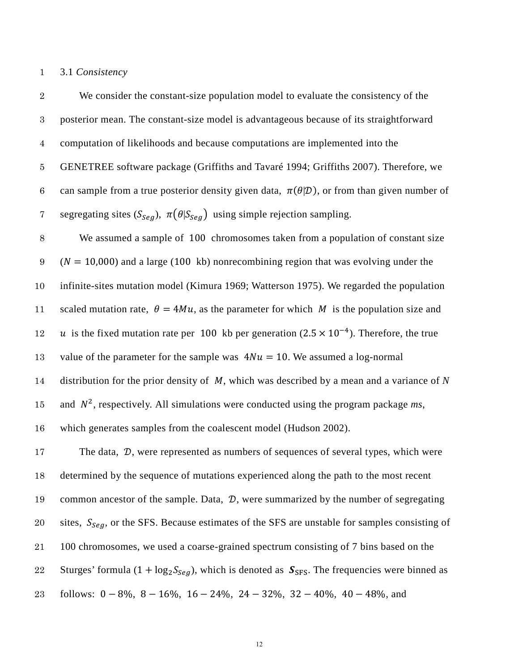## 3.1 *Consistency*

| $\sqrt{2}$       | We consider the constant-size population model to evaluate the consistency of the                             |
|------------------|---------------------------------------------------------------------------------------------------------------|
| $\boldsymbol{3}$ | posterior mean. The constant-size model is advantageous because of its straightforward                        |
| $\overline{4}$   | computation of likelihoods and because computations are implemented into the                                  |
| $\bf 5$          | GENETREE software package (Griffiths and Tavaré 1994; Griffiths 2007). Therefore, we                          |
| $\,6\,$          | can sample from a true posterior density given data, $\pi(\theta \mathcal{D})$ , or from than given number of |
| 7                | segregating sites $(S_{Seg})$ , $\pi(\theta S_{Seg})$ using simple rejection sampling.                        |
| 8                | We assumed a sample of 100 chromosomes taken from a population of constant size                               |
| 9                | $(N = 10,000)$ and a large (100 kb) nonrecombining region that was evolving under the                         |
| $10\,$           | infinite-sites mutation model (Kimura 1969; Watterson 1975). We regarded the population                       |
| 11               | scaled mutation rate, $\theta = 4Mu$ , as the parameter for which M is the population size and                |
| 12               | u is the fixed mutation rate per 100 kb per generation $(2.5 \times 10^{-4})$ . Therefore, the true           |
| 13               | value of the parameter for the sample was $4Nu = 10$ . We assumed a log-normal                                |
| 14               | distribution for the prior density of $M$ , which was described by a mean and a variance of $N$               |
| $15\,$           | and $N^2$ , respectively. All simulations were conducted using the program package ms,                        |
| 16               | which generates samples from the coalescent model (Hudson 2002).                                              |
| 17               | The data, D, were represented as numbers of sequences of several types, which were                            |
| 18               | determined by the sequence of mutations experienced along the path to the most recent                         |
| 19               | common ancestor of the sample. Data, $\mathcal{D}$ , were summarized by the number of segregating             |
| 20               | sites, $S_{Seq}$ , or the SFS. Because estimates of the SFS are unstable for samples consisting of            |
| 21               | 100 chromosomes, we used a coarse-grained spectrum consisting of 7 bins based on the                          |
| 22               | Sturges' formula $(1 + \log_2 S_{Seg})$ , which is denoted as $S_{SFS}$ . The frequencies were binned as      |
|                  |                                                                                                               |

follows: 0 − 8%, 8 − 16%, 16 − 24%, 24 − 32%, 32 − 40%, 40 − 48%, and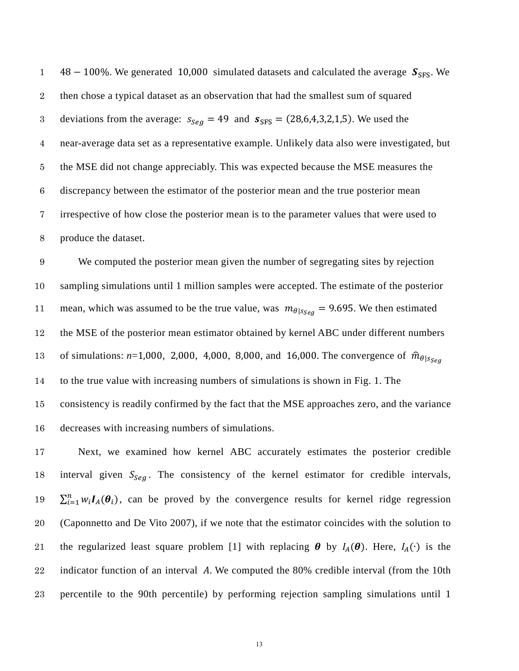48 – 100%. We generated 10,000 simulated datasets and calculated the average  $S_{SFS}$ . We then chose a typical dataset as an observation that had the smallest sum of squared 3 deviations from the average:  $s_{\text{Seq}} = 49$  and  $s_{\text{SFS}} = (28, 6, 4, 3, 2, 1, 5)$ . We used the near-average data set as a representative example. Unlikely data also were investigated, but the MSE did not change appreciably. This was expected because the MSE measures the discrepancy between the estimator of the posterior mean and the true posterior mean irrespective of how close the posterior mean is to the parameter values that were used to produce the dataset.

We computed the posterior mean given the number of segregating sites by rejection sampling simulations until 1 million samples were accepted. The estimate of the posterior 11 mean, which was assumed to be the true value, was  $m_{\theta|S_{\theta e} = 9.695}$ . We then estimated the MSE of the posterior mean estimator obtained by kernel ABC under different numbers 13 of simulations:  $n=1,000, 2,000, 4,000, 8,000,$  and 16,000. The convergence of  $\hat{m}_{\theta|S_{\text{Sog}}}\hat{n}$  to the true value with increasing numbers of simulations is shown in Fig. 1. The consistency is readily confirmed by the fact that the MSE approaches zero, and the variance decreases with increasing numbers of simulations.

 Next, we examined how kernel ABC accurately estimates the posterior credible 18 interval given  $S_{Seq}$ . The consistency of the kernel estimator for credible intervals, 19  $\sum_{i=1}^{n} w_i I_A(\theta_i)$ , can be proved by the convergence results for kernel ridge regression (Caponnetto and De Vito 2007), if we note that the estimator coincides with the solution to 21 the regularized least square problem [1] with replacing  $\theta$  by  $I_A(\theta)$ . Here,  $I_A(\cdot)$  is the 22 indicator function of an interval  $\hat{A}$ . We computed the 80% credible interval (from the 10th percentile to the 90th percentile) by performing rejection sampling simulations until 1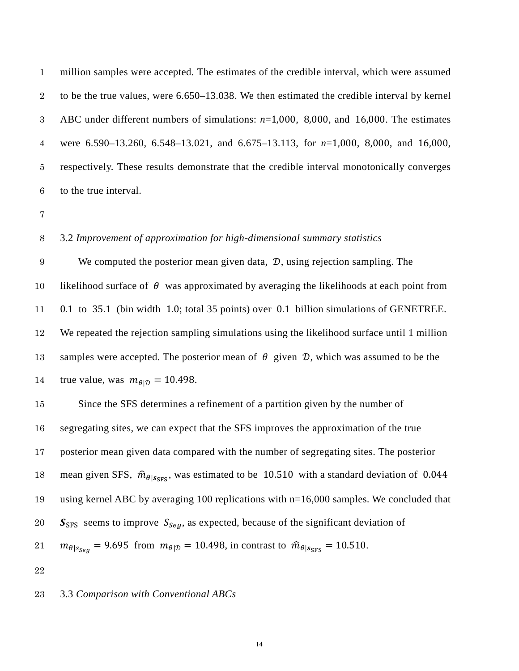million samples were accepted. The estimates of the credible interval, which were assumed to be the true values, were 6.650–13.038. We then estimated the credible interval by kernel ABC under different numbers of simulations: *n*=1,000, 8,000, and 16,000. The estimates were 6.590–13.260, 6.548–13.021, and 6.675–13.113, for *n*=1,000, 8,000, and 16,000, respectively. These results demonstrate that the credible interval monotonically converges to the true interval.

## 3.2 *Improvement of approximation for high-dimensional summary statistics*

9 We computed the posterior mean given data,  $\mathcal{D}$ , using rejection sampling. The 10 likelihood surface of  $\theta$  was approximated by averaging the likelihoods at each point from 0.1 to 35.1 (bin width 1.0; total 35 points) over 0.1 billion simulations of GENETREE. We repeated the rejection sampling simulations using the likelihood surface until 1 million 13 samples were accepted. The posterior mean of  $\theta$  given  $\mathcal{D}$ , which was assumed to be the 14 true value, was  $m_{\theta|D} = 10.498$ .

 Since the SFS determines a refinement of a partition given by the number of segregating sites, we can expect that the SFS improves the approximation of the true posterior mean given data compared with the number of segregating sites. The posterior 18 mean given SFS,  $\hat{m}_{\theta|S_{SFS}}$ , was estimated to be 10.510 with a standard deviation of 0.044 using kernel ABC by averaging 100 replications with n=16,000 samples. We concluded that  $S_{SFS}$  seems to improve  $S_{Sea}$ , as expected, because of the significant deviation of  $m_{\theta|S_{\text{Seg}}} = 9.695$  from  $m_{\theta|D} = 10.498$ , in contrast to  $\hat{m}_{\theta|S_{\text{SFS}}} = 10.510$ .

#### 3.3 *Comparison with Conventional ABCs*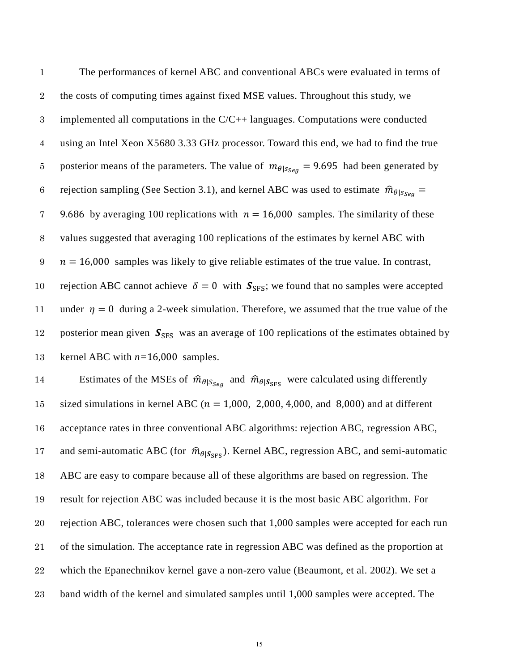1 The performances of kernel ABC and conventional ABCs were evaluated in terms of 2 the costs of computing times against fixed MSE values. Throughout this study, we 3 implemented all computations in the C/C++ languages. Computations were conducted 4 using an Intel Xeon X5680 3.33 GHz processor. Toward this end, we had to find the true 5 posterior means of the parameters. The value of  $m_{\theta|S, \theta} = 9.695$  had been generated by 6 rejection sampling (See Section 3.1), and kernel ABC was used to estimate  $\hat{m}_{\theta|S_{\text{Seq}}} =$ 7 9.686 by averaging 100 replications with  $n = 16,000$  samples. The similarity of these 8 values suggested that averaging 100 replications of the estimates by kernel ABC with  $\eta = 16,000$  samples was likely to give reliable estimates of the true value. In contrast, 10 rejection ABC cannot achieve  $\delta = 0$  with  $S_{SFS}$ ; we found that no samples were accepted 11 under  $\eta = 0$  during a 2-week simulation. Therefore, we assumed that the true value of the 12 posterior mean given  $S_{SFS}$  was an average of 100 replications of the estimates obtained by 13 kernel ABC with *n=*16,000 samples. 14 Estimates of the MSEs of  $\hat{m}_{\theta|S_{\text{Seg}}}$  and  $\hat{m}_{\theta|S_{\text{SFS}}}$  were calculated using differently

15 sized simulations in kernel ABC ( $n = 1,000, 2,000, 4,000,$  and 8,000) and at different acceptance rates in three conventional ABC algorithms: rejection ABC, regression ABC, 17 and semi-automatic ABC (for  $\hat{m}_{\theta|S_{SFS}}$ ). Kernel ABC, regression ABC, and semi-automatic ABC are easy to compare because all of these algorithms are based on regression. The result for rejection ABC was included because it is the most basic ABC algorithm. For rejection ABC, tolerances were chosen such that 1,000 samples were accepted for each run of the simulation. The acceptance rate in regression ABC was defined as the proportion at which the Epanechnikov kernel gave a non-zero value (Beaumont, et al. 2002). We set a band width of the kernel and simulated samples until 1,000 samples were accepted. The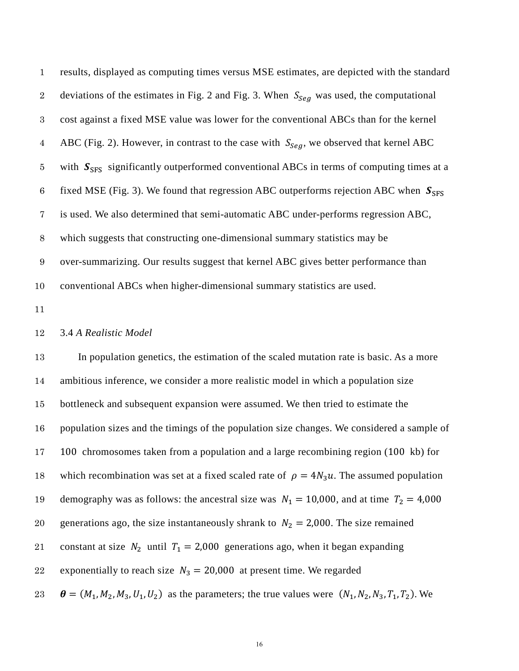| $\mathbf{1}$     | results, displayed as computing times versus MSE estimates, are depicted with the standard    |  |  |  |  |
|------------------|-----------------------------------------------------------------------------------------------|--|--|--|--|
| $\sqrt{2}$       | deviations of the estimates in Fig. 2 and Fig. 3. When $S_{Seq}$ was used, the computational  |  |  |  |  |
| $\sqrt{3}$       | cost against a fixed MSE value was lower for the conventional ABCs than for the kernel        |  |  |  |  |
| $\overline{4}$   | ABC (Fig. 2). However, in contrast to the case with $S_{Seq}$ , we observed that kernel ABC   |  |  |  |  |
| $\bf 5$          | with $S_{SFS}$ significantly outperformed conventional ABCs in terms of computing times at a  |  |  |  |  |
| $\,6$            | fixed MSE (Fig. 3). We found that regression ABC outperforms rejection ABC when $S_{SFS}$     |  |  |  |  |
| $\overline{7}$   | is used. We also determined that semi-automatic ABC under-performs regression ABC,            |  |  |  |  |
| $8\,$            | which suggests that constructing one-dimensional summary statistics may be                    |  |  |  |  |
| $\boldsymbol{9}$ | over-summarizing. Our results suggest that kernel ABC gives better performance than           |  |  |  |  |
| 10               | conventional ABCs when higher-dimensional summary statistics are used.                        |  |  |  |  |
| 11               |                                                                                               |  |  |  |  |
| 12               | 3.4 A Realistic Model                                                                         |  |  |  |  |
| $13\,$           | In population genetics, the estimation of the scaled mutation rate is basic. As a more        |  |  |  |  |
| $14\,$           | ambitious inference, we consider a more realistic model in which a population size            |  |  |  |  |
| $15\,$           | bottleneck and subsequent expansion were assumed. We then tried to estimate the               |  |  |  |  |
| 16               | population sizes and the timings of the population size changes. We considered a sample of    |  |  |  |  |
| $17\,$           | 100 chromosomes taken from a population and a large recombining region (100 kb) for           |  |  |  |  |
| 18               | which recombination was set at a fixed scaled rate of $\rho = 4N_3u$ . The assumed population |  |  |  |  |

19 demography was as follows: the ancestral size was  $N_1 = 10,000$ , and at time  $T_2 = 4,000$ 

20 generations ago, the size instantaneously shrank to  $N_2 = 2,000$ . The size remained

21 constant at size  $N_2$  until  $T_1 = 2,000$  generations ago, when it began expanding

22 exponentially to reach size  $N_3 = 20,000$  at present time. We regarded

23  $\theta = (M_1, M_2, M_3, U_1, U_2)$  as the parameters; the true values were  $(N_1, N_2, N_3, T_1, T_2)$ . We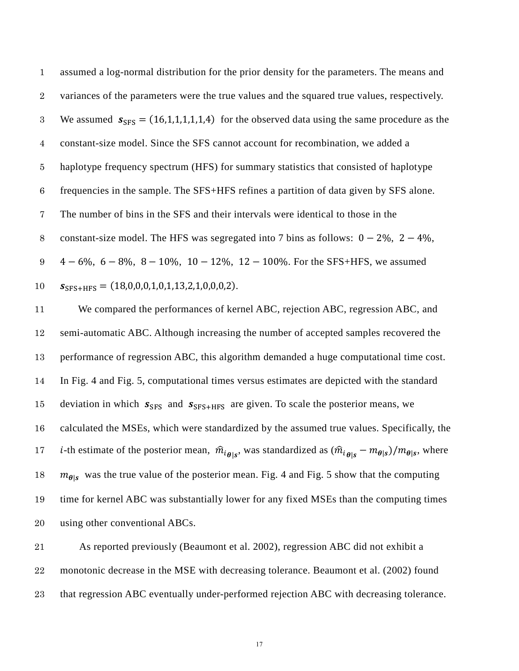| $\mathbf{1}$    | assumed a log-normal distribution for the prior density for the parameters. The means and     |
|-----------------|-----------------------------------------------------------------------------------------------|
| $2^{\circ}$     | variances of the parameters were the true values and the squared true values, respectively.   |
| 3               | We assumed $s_{SFS} = (16,1,1,1,1,1,4)$ for the observed data using the same procedure as the |
| 4               | constant-size model. Since the SFS cannot account for recombination, we added a               |
| $5\overline{)}$ | haplotype frequency spectrum (HFS) for summary statistics that consisted of haplotype         |
| 6               | frequencies in the sample. The SFS+HFS refines a partition of data given by SFS alone.        |
| $\overline{7}$  | The number of bins in the SFS and their intervals were identical to those in the              |
| 8               | constant-size model. The HFS was segregated into 7 bins as follows: $0 - 2\%, 2 - 4\%,$       |
| 9               | $4-6\%, 6-8\%, 8-10\%, 10-12\%, 12-100\%$ . For the SFS+HFS, we assumed                       |
| 10              | $S_{SFS+HFS} = (18,0,0,0,1,0,1,13,2,1,0,0,0,2).$                                              |

 We compared the performances of kernel ABC, rejection ABC, regression ABC, and semi-automatic ABC. Although increasing the number of accepted samples recovered the performance of regression ABC, this algorithm demanded a huge computational time cost. In Fig. 4 and Fig. 5, computational times versus estimates are depicted with the standard 15 deviation in which  $S_{SFS}$  and  $S_{SFS+HFS}$  are given. To scale the posterior means, we calculated the MSEs, which were standardized by the assumed true values. Specifically, the *i*-th estimate of the posterior mean,  $\hat{m}_{i_{\theta|s}}$ , was standardized as  $(\hat{m}_{i_{\theta|s}} - m_{\theta|s})/m_{\theta|s}$ , where  $m_{\theta}$  was the true value of the posterior mean. Fig. 4 and Fig. 5 show that the computing time for kernel ABC was substantially lower for any fixed MSEs than the computing times using other conventional ABCs.

 As reported previously [\(Beaumont et al. 2002\)](#page-19-0), regression ABC did not exhibit a monotonic decrease in the MSE with decreasing tolerance. Beaumont et al. (2002) found that regression ABC eventually under-performed rejection ABC with decreasing tolerance.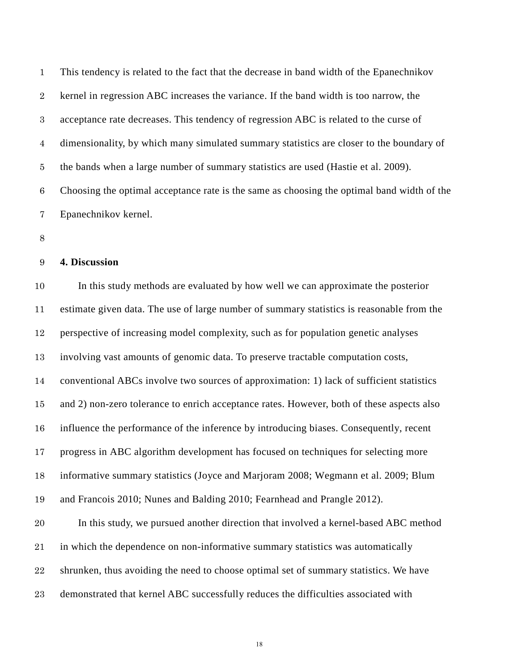This tendency is related to the fact that the decrease in band width of the Epanechnikov kernel in regression ABC increases the variance. If the band width is too narrow, the acceptance rate decreases. This tendency of regression ABC is related to the curse of dimensionality, by which many simulated summary statistics are closer to the boundary of the bands when a large number of summary statistics are used [\(Hastie et al. 2009\)](#page-20-9). Choosing the optimal acceptance rate is the same as choosing the optimal band width of the Epanechnikov kernel.

#### **4. Discussion**

 In this study methods are evaluated by how well we can approximate the posterior estimate given data. The use of large number of summary statistics is reasonable from the perspective of increasing model complexity, such as for population genetic analyses involving vast amounts of genomic data. To preserve tractable computation costs, conventional ABCs involve two sources of approximation: 1) lack of sufficient statistics and 2) non-zero tolerance to enrich acceptance rates. However, both of these aspects also influence the performance of the inference by introducing biases. Consequently, recent progress in ABC algorithm development has focused on techniques for selecting more informative summary statistics [\(Joyce and Marjoram 2008;](#page-20-1) [Wegmann et al. 2009;](#page-22-0) [Blum](#page-19-1)  [and Francois 2010;](#page-19-1) [Nunes and Balding 2010;](#page-21-4) [Fearnhead and Prangle 2012\)](#page-19-2). In this study, we pursued another direction that involved a kernel-based ABC method in which the dependence on non-informative summary statistics was automatically shrunken, thus avoiding the need to choose optimal set of summary statistics. We have demonstrated that kernel ABC successfully reduces the difficulties associated with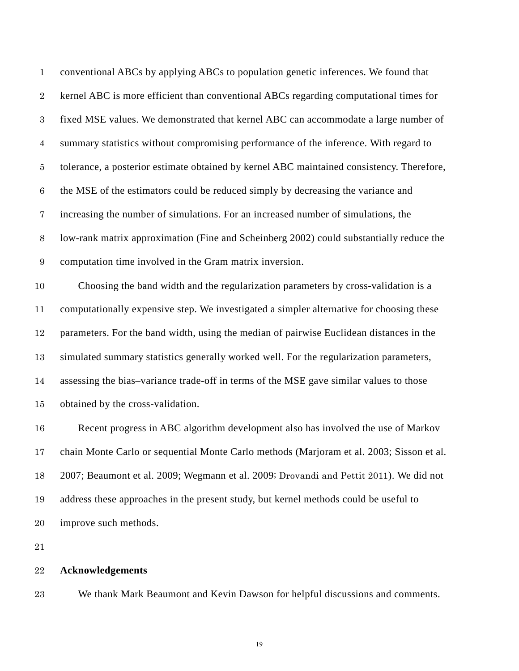| $\mathbf{1}$     | conventional ABCs by applying ABCs to population genetic inferences. We found that        |  |  |  |
|------------------|-------------------------------------------------------------------------------------------|--|--|--|
| $\sqrt{2}$       | kernel ABC is more efficient than conventional ABCs regarding computational times for     |  |  |  |
| $\sqrt{3}$       | fixed MSE values. We demonstrated that kernel ABC can accommodate a large number of       |  |  |  |
| $\boldsymbol{4}$ | summary statistics without compromising performance of the inference. With regard to      |  |  |  |
| $\bf 5$          | tolerance, a posterior estimate obtained by kernel ABC maintained consistency. Therefore, |  |  |  |
| $\,6\,$          | the MSE of the estimators could be reduced simply by decreasing the variance and          |  |  |  |
| $\overline{7}$   | increasing the number of simulations. For an increased number of simulations, the         |  |  |  |
| $8\,$            | low-rank matrix approximation (Fine and Scheinberg 2002) could substantially reduce the   |  |  |  |
| $\boldsymbol{9}$ | computation time involved in the Gram matrix inversion.                                   |  |  |  |
| 10               | Choosing the band width and the regularization parameters by cross-validation is a        |  |  |  |
| 11               | computationally expensive step. We investigated a simpler alternative for choosing these  |  |  |  |
| 12               | parameters. For the band width, using the median of pairwise Euclidean distances in the   |  |  |  |
| 13               | simulated summary statistics generally worked well. For the regularization parameters,    |  |  |  |
| 14               | assessing the bias-variance trade-off in terms of the MSE gave similar values to those    |  |  |  |
| 15               | obtained by the cross-validation.                                                         |  |  |  |
| 16               | Recent progress in ABC algorithm development also has involved the use of Markov          |  |  |  |
| $17\,$           | chain Monte Carlo or sequential Monte Carlo methods (Marjoram et al. 2003; Sisson et al.  |  |  |  |
| 18               | 2007; Beaumont et al. 2009; Wegmann et al. 2009; Drovandi and Pettit 2011). We did not    |  |  |  |
| 19               | address these approaches in the present study, but kernel methods could be useful to      |  |  |  |
| 20               | improve such methods.                                                                     |  |  |  |

# **Acknowledgements**

We thank Mark Beaumont and Kevin Dawson for helpful discussions and comments.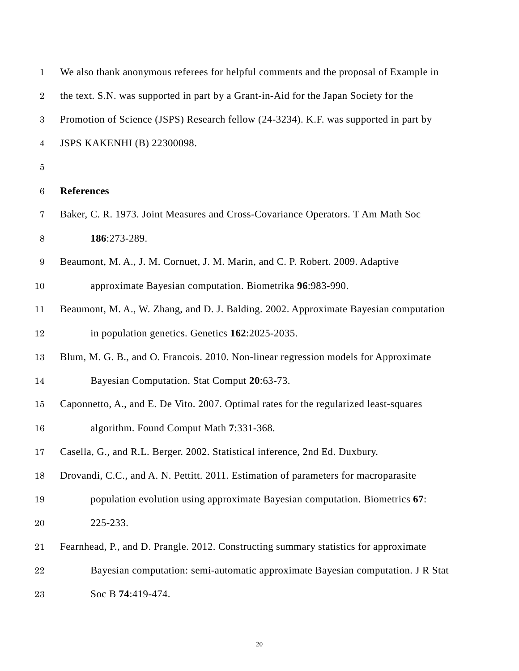<span id="page-19-4"></span><span id="page-19-3"></span><span id="page-19-2"></span><span id="page-19-1"></span><span id="page-19-0"></span>

| $\mathbf{1}$     | We also thank anonymous referees for helpful comments and the proposal of Example in  |  |  |  |
|------------------|---------------------------------------------------------------------------------------|--|--|--|
| $\boldsymbol{2}$ | the text. S.N. was supported in part by a Grant-in-Aid for the Japan Society for the  |  |  |  |
| $\boldsymbol{3}$ | Promotion of Science (JSPS) Research fellow (24-3234). K.F. was supported in part by  |  |  |  |
| $\overline{4}$   | JSPS KAKENHI (B) 22300098.                                                            |  |  |  |
| 5                |                                                                                       |  |  |  |
| $\,6\,$          | <b>References</b>                                                                     |  |  |  |
| $\overline{7}$   | Baker, C. R. 1973. Joint Measures and Cross-Covariance Operators. T Am Math Soc       |  |  |  |
| $8\,$            | 186:273-289.                                                                          |  |  |  |
| 9                | Beaumont, M. A., J. M. Cornuet, J. M. Marin, and C. P. Robert. 2009. Adaptive         |  |  |  |
| 10               | approximate Bayesian computation. Biometrika 96:983-990.                              |  |  |  |
| 11               | Beaumont, M. A., W. Zhang, and D. J. Balding. 2002. Approximate Bayesian computation  |  |  |  |
| 12               | in population genetics. Genetics 162:2025-2035.                                       |  |  |  |
| 13               | Blum, M. G. B., and O. Francois. 2010. Non-linear regression models for Approximate   |  |  |  |
| 14               | Bayesian Computation. Stat Comput 20:63-73.                                           |  |  |  |
| 15               | Caponnetto, A., and E. De Vito. 2007. Optimal rates for the regularized least-squares |  |  |  |
| 16               | algorithm. Found Comput Math 7:331-368.                                               |  |  |  |
| 17               | Casella, G., and R.L. Berger. 2002. Statistical inference, 2nd Ed. Duxbury.           |  |  |  |
| 18               | Drovandi, C.C., and A. N. Pettitt. 2011. Estimation of parameters for macroparasite   |  |  |  |
| 19               | population evolution using approximate Bayesian computation. Biometrics 67:           |  |  |  |
| 20               | 225-233.                                                                              |  |  |  |
| 21               | Fearnhead, P., and D. Prangle. 2012. Constructing summary statistics for approximate  |  |  |  |
| 22               | Bayesian computation: semi-automatic approximate Bayesian computation. J R Stat       |  |  |  |
| 23               | Soc B 74:419-474.                                                                     |  |  |  |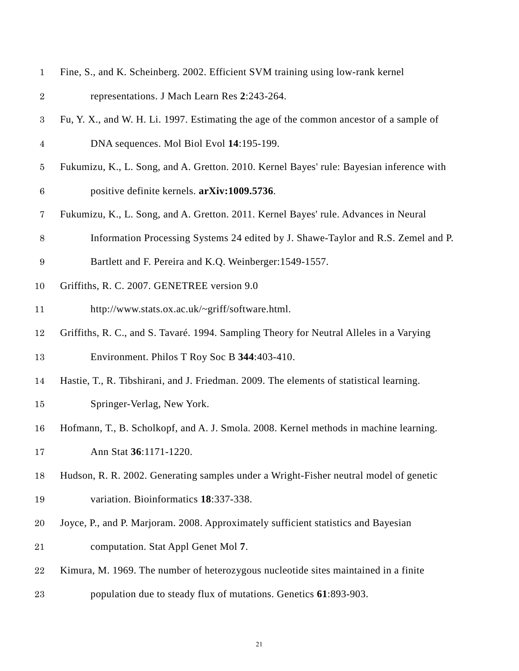<span id="page-20-10"></span><span id="page-20-9"></span><span id="page-20-8"></span><span id="page-20-7"></span><span id="page-20-6"></span><span id="page-20-5"></span><span id="page-20-4"></span><span id="page-20-3"></span><span id="page-20-2"></span><span id="page-20-1"></span><span id="page-20-0"></span>

| $\mathbf{1}$     | Fine, S., and K. Scheinberg. 2002. Efficient SVM training using low-rank kernel          |  |  |  |  |
|------------------|------------------------------------------------------------------------------------------|--|--|--|--|
| $\sqrt{2}$       | representations. J Mach Learn Res 2:243-264.                                             |  |  |  |  |
| $\boldsymbol{3}$ | Fu, Y. X., and W. H. Li. 1997. Estimating the age of the common ancestor of a sample of  |  |  |  |  |
| $\overline{4}$   | DNA sequences. Mol Biol Evol 14:195-199.                                                 |  |  |  |  |
| $\overline{5}$   | Fukumizu, K., L. Song, and A. Gretton. 2010. Kernel Bayes' rule: Bayesian inference with |  |  |  |  |
| $\,6$            | positive definite kernels. arXiv:1009.5736.                                              |  |  |  |  |
| $\overline{7}$   | Fukumizu, K., L. Song, and A. Gretton. 2011. Kernel Bayes' rule. Advances in Neural      |  |  |  |  |
| $8\,$            | Information Processing Systems 24 edited by J. Shawe-Taylor and R.S. Zemel and P.        |  |  |  |  |
| $\boldsymbol{9}$ | Bartlett and F. Pereira and K.Q. Weinberger: 1549-1557.                                  |  |  |  |  |
| 10               | Griffiths, R. C. 2007. GENETREE version 9.0                                              |  |  |  |  |
| 11               | http://www.stats.ox.ac.uk/~griff/software.html.                                          |  |  |  |  |
| 12               | Griffiths, R. C., and S. Tavaré. 1994. Sampling Theory for Neutral Alleles in a Varying  |  |  |  |  |
| 13               | Environment. Philos T Roy Soc B 344:403-410.                                             |  |  |  |  |
| 14               | Hastie, T., R. Tibshirani, and J. Friedman. 2009. The elements of statistical learning.  |  |  |  |  |
| 15               | Springer-Verlag, New York.                                                               |  |  |  |  |
| 16               | Hofmann, T., B. Scholkopf, and A. J. Smola. 2008. Kernel methods in machine learning.    |  |  |  |  |
| 17               | Ann Stat 36:1171-1220.                                                                   |  |  |  |  |
| 18               | Hudson, R. R. 2002. Generating samples under a Wright-Fisher neutral model of genetic    |  |  |  |  |
| 19               | variation. Bioinformatics 18:337-338.                                                    |  |  |  |  |
| 20               | Joyce, P., and P. Marjoram. 2008. Approximately sufficient statistics and Bayesian       |  |  |  |  |
| 21               | computation. Stat Appl Genet Mol 7.                                                      |  |  |  |  |
| $\bf{22}$        | Kimura, M. 1969. The number of heterozygous nucleotide sites maintained in a finite      |  |  |  |  |
| 23               | population due to steady flux of mutations. Genetics 61:893-903.                         |  |  |  |  |
|                  |                                                                                          |  |  |  |  |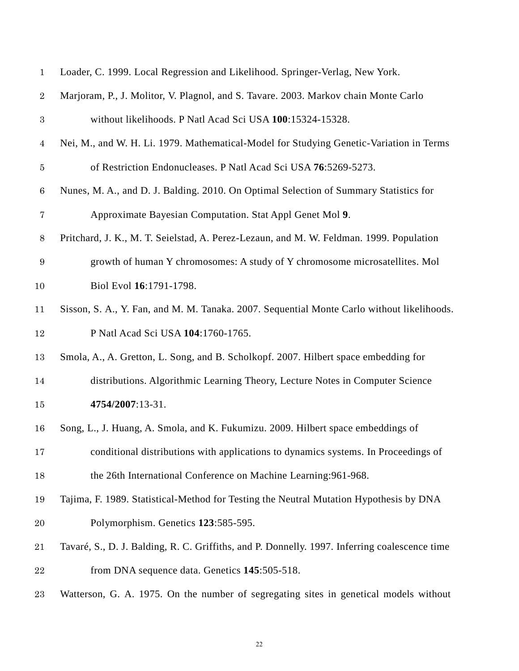<span id="page-21-9"></span><span id="page-21-8"></span><span id="page-21-7"></span><span id="page-21-6"></span><span id="page-21-5"></span><span id="page-21-4"></span><span id="page-21-3"></span><span id="page-21-2"></span><span id="page-21-1"></span><span id="page-21-0"></span>

| $\mathbf{1}$     | Loader, C. 1999. Local Regression and Likelihood. Springer-Verlag, New York.                  |  |  |  |  |
|------------------|-----------------------------------------------------------------------------------------------|--|--|--|--|
| $\overline{2}$   | Marjoram, P., J. Molitor, V. Plagnol, and S. Tavare. 2003. Markov chain Monte Carlo           |  |  |  |  |
| $\sqrt{3}$       | without likelihoods. P Natl Acad Sci USA 100:15324-15328.                                     |  |  |  |  |
| $\overline{4}$   | Nei, M., and W. H. Li. 1979. Mathematical-Model for Studying Genetic-Variation in Terms       |  |  |  |  |
| $\overline{5}$   | of Restriction Endonucleases. P Natl Acad Sci USA 76:5269-5273.                               |  |  |  |  |
| $\,6\,$          | Nunes, M. A., and D. J. Balding. 2010. On Optimal Selection of Summary Statistics for         |  |  |  |  |
| $\bf 7$          | Approximate Bayesian Computation. Stat Appl Genet Mol 9.                                      |  |  |  |  |
| $8\,$            | Pritchard, J. K., M. T. Seielstad, A. Perez-Lezaun, and M. W. Feldman. 1999. Population       |  |  |  |  |
| $\boldsymbol{9}$ | growth of human Y chromosomes: A study of Y chromosome microsatellites. Mol                   |  |  |  |  |
| 10               | Biol Evol 16:1791-1798.                                                                       |  |  |  |  |
| 11               | Sisson, S. A., Y. Fan, and M. M. Tanaka. 2007. Sequential Monte Carlo without likelihoods.    |  |  |  |  |
| 12               | P Natl Acad Sci USA 104:1760-1765.                                                            |  |  |  |  |
| 13               | Smola, A., A. Gretton, L. Song, and B. Scholkopf. 2007. Hilbert space embedding for           |  |  |  |  |
| 14               | distributions. Algorithmic Learning Theory, Lecture Notes in Computer Science                 |  |  |  |  |
| 15               | 4754/2007:13-31.                                                                              |  |  |  |  |
| 16               | Song, L., J. Huang, A. Smola, and K. Fukumizu. 2009. Hilbert space embeddings of              |  |  |  |  |
| 17               | conditional distributions with applications to dynamics systems. In Proceedings of            |  |  |  |  |
| 18               | the 26th International Conference on Machine Learning: 961-968.                               |  |  |  |  |
| 19               | Tajima, F. 1989. Statistical-Method for Testing the Neutral Mutation Hypothesis by DNA        |  |  |  |  |
| 20               | Polymorphism. Genetics 123:585-595.                                                           |  |  |  |  |
| 21               | Tavaré, S., D. J. Balding, R. C. Griffiths, and P. Donnelly. 1997. Inferring coalescence time |  |  |  |  |
| $\bf{22}$        | from DNA sequence data. Genetics 145:505-518.                                                 |  |  |  |  |
| 23               | Watterson, G. A. 1975. On the number of segregating sites in genetical models without         |  |  |  |  |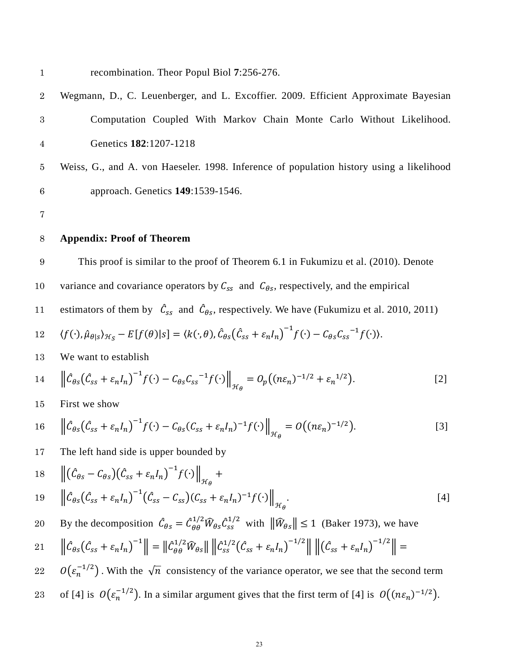<span id="page-22-0"></span>1 recombination. Theor Popul Biol **7**:256-276.

- 2 Wegmann, D., C. Leuenberger, and L. Excoffier. 2009. Efficient Approximate Bayesian 3 Computation Coupled With Markov Chain Monte Carlo Without Likelihood. 4 Genetics **182**:1207-1218
- 5 Weiss, G., and A. von Haeseler. 1998. Inference of population history using a likelihood 6 approach. Genetics **149**:1539-1546.

7

## 8 **Appendix: Proof of Theorem**

9 This proof is similar to the proof of Theorem 6.1 in Fukumizu et al. (2010). Denote 10 variance and covariance operators by  $C_{ss}$  and  $C_{\theta s}$ , respectively, and the empirical

11 estimators of them by  $\mathcal{C}_{ss}$  and  $\mathcal{C}_{\theta s}$ , respectively. We have [\(Fukumizu et al.](#page-20-3) 2010, [2011\)](#page-20-4)

12 
$$
\langle f(\cdot), \hat{\mu}_{\theta|s} \rangle_{\mathcal{H}_{S}} - E[f(\theta)|s] = \langle k(\cdot, \theta), \hat{\mathcal{C}}_{\theta S}(\hat{\mathcal{C}}_{SS} + \varepsilon_n I_n)^{-1} f(\cdot) - \mathcal{C}_{\theta S} \mathcal{C}_{SS}^{-1} f(\cdot) \rangle.
$$

13 We want to establish

$$
14 \qquad \left\| \hat{\mathcal{C}}_{\theta S} \left( \hat{\mathcal{C}}_{SS} + \varepsilon_n I_n \right)^{-1} f(\cdot) - \mathcal{C}_{\theta S} \mathcal{C}_{SS}^{-1} f(\cdot) \right\|_{\mathcal{H}_{\theta}} = O_p \left( (n\varepsilon_n)^{-1/2} + \varepsilon_n^{-1/2} \right). \tag{2}
$$

15 First we show

16 
$$
\left\|\hat{\mathcal{C}}_{\theta S}(\hat{\mathcal{C}}_{SS} + \varepsilon_n I_n)^{-1} f(\cdot) - \mathcal{C}_{\theta S}(\mathcal{C}_{SS} + \varepsilon_n I_n)^{-1} f(\cdot)\right\|_{\mathcal{H}_{\theta}} = O((n\varepsilon_n)^{-1/2}).
$$
 [3]

17 The left hand side is upper bounded by

18 
$$
\left\| \left( \hat{C}_{\theta s} - C_{\theta s} \right) \left( \hat{C}_{s s} + \varepsilon_n I_n \right)^{-1} f(\cdot) \right\|_{\mathcal{H}_{\theta}} +
$$
  
19 
$$
\left\| \hat{C}_{\theta s} \left( \hat{C}_{s s} + \varepsilon_n I_n \right)^{-1} \left( \hat{C}_{s s} - C_{s s} \right) \left( C_{s s} + \varepsilon_n I_n \right)^{-1} f(\cdot) \right\|_{\mathcal{H}_{\theta}}.
$$

By the decomposition  $\ddot{C}_{\theta s} = \ddot{C}_{\theta \theta}^{1/2}$ 20 By the decomposition  $\hat{\mathcal{C}}_{\theta s} = \hat{\mathcal{C}}_{\theta \theta}^{1/2} \hat{W}_{\theta s} \hat{\mathcal{C}}_{ss}^{1/2}$  with  $\|\hat{W}_{\theta s}\| \le 1$  [\(Baker 1973\)](#page-19-4), we have

$$
21 \qquad \left\| \hat{C}_{\theta S} (\hat{C}_{SS} + \varepsilon_n I_n)^{-1} \right\| = \left\| \hat{C}_{\theta \theta}^{1/2} \hat{W}_{\theta S} \right\| \left\| \hat{C}_{SS}^{1/2} (\hat{C}_{SS} + \varepsilon_n I_n)^{-1/2} \right\| \left\| (\hat{C}_{SS} + \varepsilon_n I_n)^{-1/2} \right\| =
$$

- $22 \quad O(\varepsilon_n^{-1/2})$ . With the  $\sqrt{n}$  consistency of the variance operator, we see that the second term
- of [4] is  $O(\varepsilon_n^{-1/2})$ . In a similar argument gives that the first term of [4] is  $O((n\varepsilon_n)^{-1/2})$ .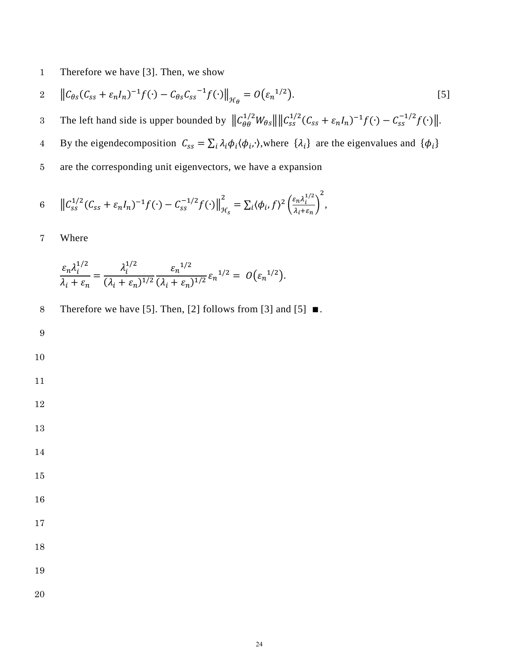Therefore we have [3]. Then, we show

$$
2 \quad \left\| \mathcal{C}_{\theta s}(\mathcal{C}_{ss} + \varepsilon_n I_n)^{-1} f(\cdot) - \mathcal{C}_{\theta s} \mathcal{C}_{ss}^{-1} f(\cdot) \right\|_{\mathcal{H}_{\theta}} = O(\varepsilon_n^{1/2}). \tag{5}
$$

3 The left hand side is upper bounded by  $||C_{\theta\theta}^{1/2}W_{\theta s}|| ||C_{ss}^{1/2}(C_{ss} + \varepsilon_n I_n)^{-1}f(\cdot) - C_{ss}^{-1/2}f(\cdot) ||.$ 

By the eigendecomposition  $C_{ss} = \sum_i \lambda_i \phi_i \langle \phi_i, \cdot \rangle$ , where  $\{\lambda_i\}$  are the eigenvalues and  $\{\phi_i\}$ 

are the corresponding unit eigenvectors, we have a expansion

$$
6 \t ||C_{ss}^{1/2}(C_{ss} + \varepsilon_n I_n)^{-1} f(\cdot) - C_{ss}^{-1/2} f(\cdot) ||_{\mathcal{H}_s}^2 = \sum_i \langle \phi_i, f \rangle^2 \left( \frac{\varepsilon_n \lambda_i^{1/2}}{\lambda_i + \varepsilon_n} \right)^2,
$$

Where

$$
\frac{\varepsilon_n \lambda_i^{1/2}}{\lambda_i + \varepsilon_n} = \frac{\lambda_i^{1/2}}{(\lambda_i + \varepsilon_n)^{1/2}} \frac{\varepsilon_n^{1/2}}{(\lambda_i + \varepsilon_n)^{1/2}} \varepsilon_n^{1/2} = O(\varepsilon_n^{1/2}).
$$

- Therefore we have [5]. Then, [2] follows from [3] and [5] ∎.
- 

- 
- 
- 
- 
- 
- 
- 
- 
-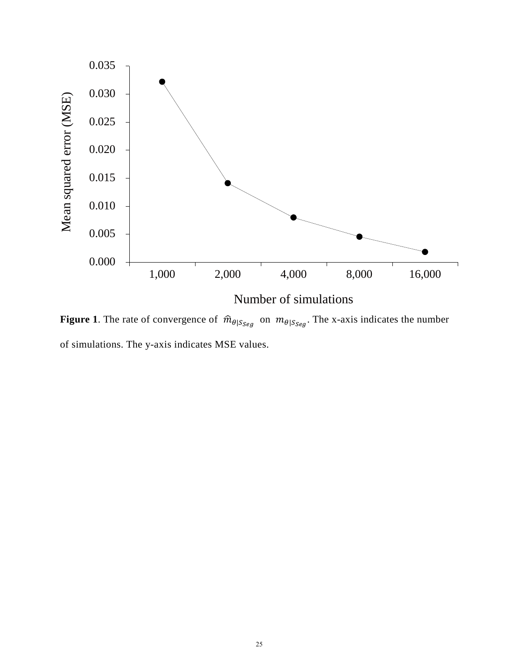

**Figure 1**. The rate of convergence of  $\hat{m}_{\theta|S_{Seg}}$  on  $m_{\theta|S_{Seg}}$ . The x-axis indicates the number of simulations. The y-axis indicates MSE values.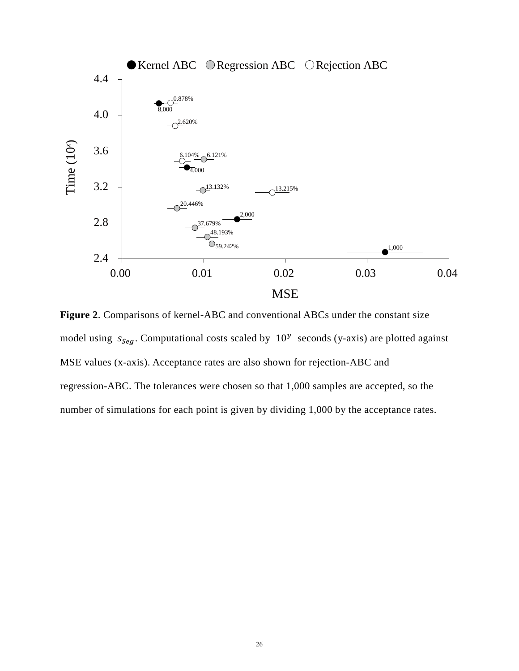

**Figure 2**. Comparisons of kernel-ABC and conventional ABCs under the constant size model using  $s_{Seq}$ . Computational costs scaled by  $10<sup>y</sup>$  seconds (y-axis) are plotted against MSE values (x-axis). Acceptance rates are also shown for rejection-ABC and regression-ABC. The tolerances were chosen so that 1,000 samples are accepted, so the number of simulations for each point is given by dividing 1,000 by the acceptance rates.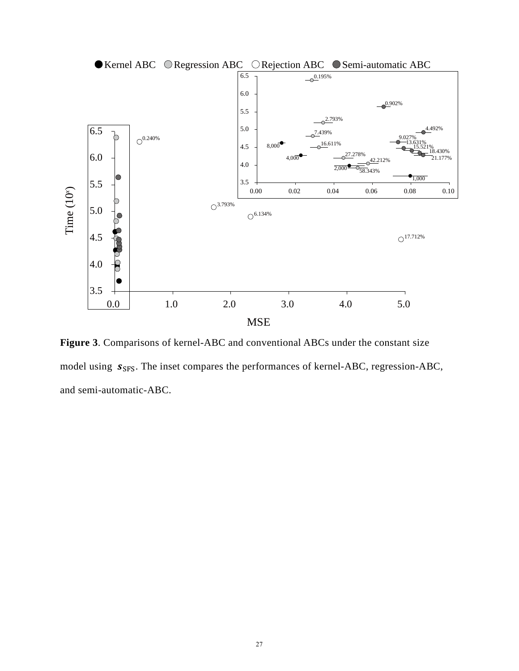

**Figure 3**. Comparisons of kernel-ABC and conventional ABCs under the constant size model using  $s_{SFS}$ . The inset compares the performances of kernel-ABC, regression-ABC, and semi-automatic-ABC.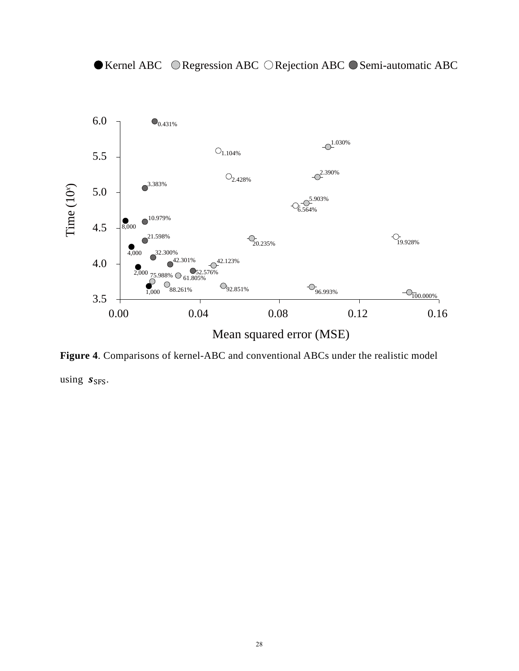

● Kernel ABC © Regression ABC ◯ Rejection ABC ● Semi-automatic ABC

**Figure 4**. Comparisons of kernel-ABC and conventional ABCs under the realistic model

using  $s_{SFS}$ .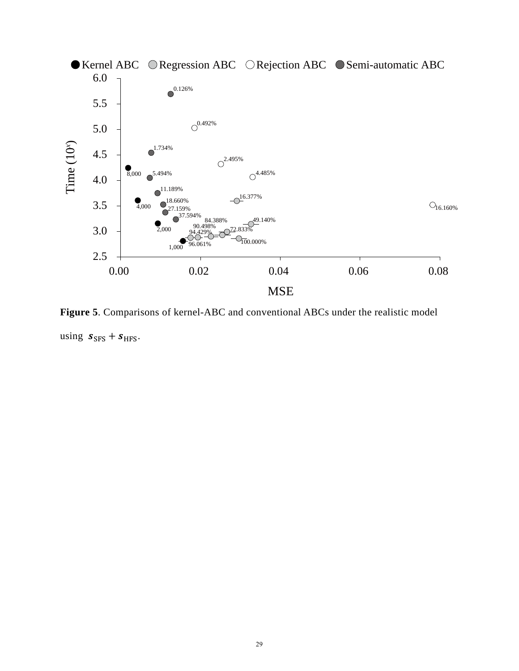

**Figure 5**. Comparisons of kernel-ABC and conventional ABCs under the realistic model using  $s_{SFS} + s_{HFS}$ .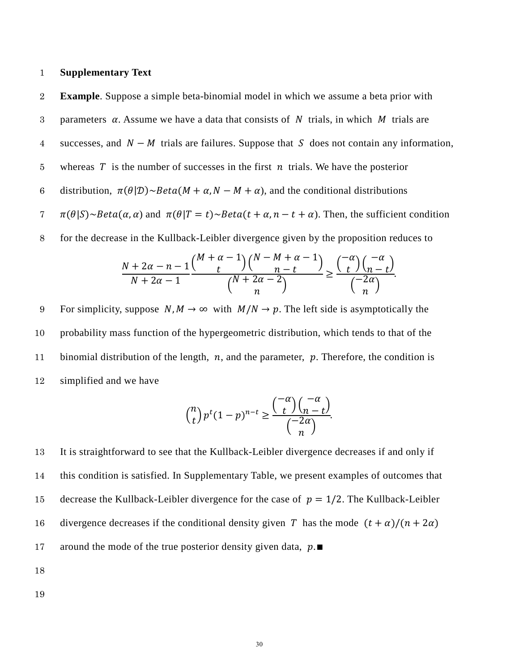### 1 **Supplementary Text**

2 **Example**. Suppose a simple beta-binomial model in which we assume a beta prior with 3 parameters  $\alpha$ . Assume we have a data that consists of N trials, in which M trials are 4 successes, and  $N - M$  trials are failures. Suppose that S does not contain any information, 5 whereas  $T$  is the number of successes in the first  $n$  trials. We have the posterior 6 distribution,  $\pi(\theta|\mathcal{D}) \sim Beta(M + \alpha, N - M + \alpha)$ , and the conditional distributions  $\pi(\theta|S) \sim Beta(\alpha, \alpha)$  and  $\pi(\theta|T = t) \sim Beta(t + \alpha, n - t + \alpha)$ . Then, the sufficient condition 8 for the decrease in the Kullback-Leibler divergence given by the proposition reduces to  $\frac{N+2\alpha-n-1}{N}$  $N + 2\alpha - 1$  $\frac{\binom{M+\alpha-1}{t}\binom{N-M+\alpha-1}{n-t}}{n-t}$  $\binom{N+2\alpha-2}{n}$  $\geq \frac{\binom{-\alpha}{t}\binom{-\alpha}{n-t}}{\binom{-2\alpha}{t}}$  $\binom{-2\alpha}{n}$ . 9 For simplicity, suppose  $N, M \to \infty$  with  $M/N \to p$ . The left side is asymptotically the

10 probability mass function of the hypergeometric distribution, which tends to that of the 11 binomial distribution of the length,  $n$ , and the parameter,  $p$ . Therefore, the condition is 12 simplified and we have

$$
\binom{n}{t} p^t (1-p)^{n-t} \ge \frac{\binom{-\alpha}{t} \binom{-\alpha}{n-t}}{\binom{-2\alpha}{n}}.
$$

13 It is straightforward to see that the Kullback-Leibler divergence decreases if and only if 14 this condition is satisfied. In Supplementary Table, we present examples of outcomes that 15 decrease the Kullback-Leibler divergence for the case of  $p = 1/2$ . The Kullback-Leibler 16 divergence decreases if the conditional density given T has the mode  $(t + \alpha)/(n + 2\alpha)$ 17 around the mode of the true posterior density given data,  $p.\blacksquare$ 

18